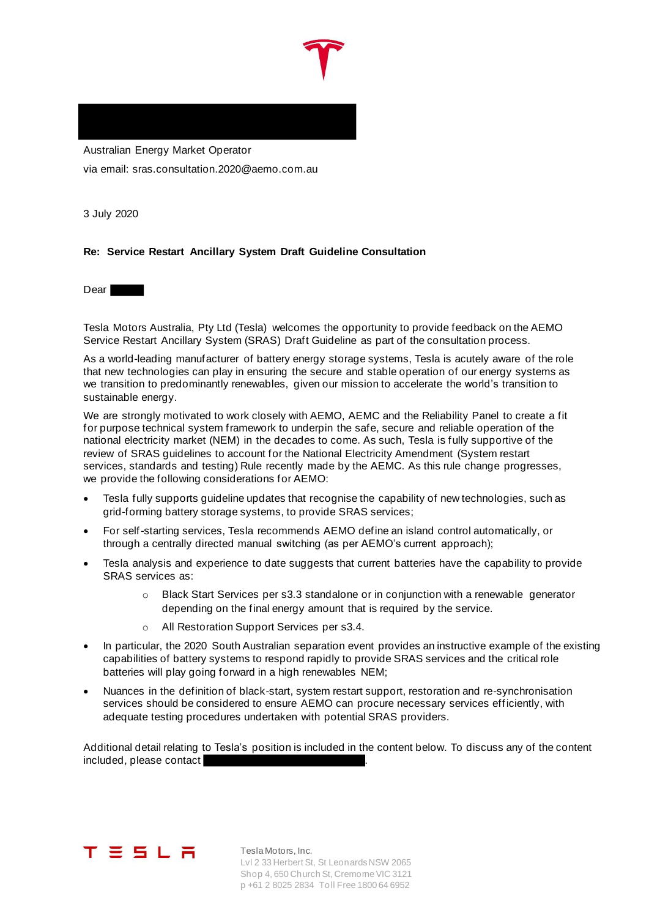Australian Energy Market Operator via email: sras.consultation.2020@aemo.com.au

3 July 2020

# **Re: Service Restart Ancillary System Draft Guideline Consultation**

**Dear** 

Tesla Motors Australia, Pty Ltd (Tesla) welcomes the opportunity to provide feedback on the AEMO Service Restart Ancillary System (SRAS) Draft Guideline as part of the consultation process.

As a world-leading manufacturer of battery energy storage systems, Tesla is acutely aware of the role that new technologies can play in ensuring the secure and stable operation of our energy systems as we transition to predominantly renewables, given our mission to accelerate the world's transition to sustainable energy.

We are strongly motivated to work closely with AEMO, AEMC and the Reliability Panel to create a fit for purpose technical system framework to underpin the safe, secure and reliable operation of the national electricity market (NEM) in the decades to come. As such, Tesla is fully supportive of the review of SRAS guidelines to account for the National Electricity Amendment (System restart services, standards and testing) Rule recently made by the AEMC. As this rule change progresses, we provide the following considerations for AEMO:

- Tesla fully supports guideline updates that recognise the capability of new technologies, such as grid-forming battery storage systems, to provide SRAS services;
- For self-starting services, Tesla recommends AEMO define an island control automatically, or through a centrally directed manual switching (as per AEMO's current approach);
- Tesla analysis and experience to date suggests that current batteries have the capability to provide SRAS services as:
	- o Black Start Services per s3.3 standalone or in conjunction with a renewable generator depending on the final energy amount that is required by the service.
	- o All Restoration Support Services per s3.4.
- In particular, the 2020 South Australian separation event provides an instructive example of the existing capabilities of battery systems to respond rapidly to provide SRAS services and the critical role batteries will play going forward in a high renewables NEM;
- Nuances in the definition of black-start, system restart support, restoration and re-synchronisation services should be considered to ensure AEMO can procure necessary services efficiently, with adequate testing procedures undertaken with potential SRAS providers.

Additional detail relating to Tesla's position is included in the content below. To discuss any of the content included, please contact



Tesla Motors, Inc. Lvl 2 33 Herbert St, St Leonards NSW 2065 Shop 4, 650 Church St, Cremorne VIC 3121 p +61 2 8025 2834 Toll Free 1800 64 6952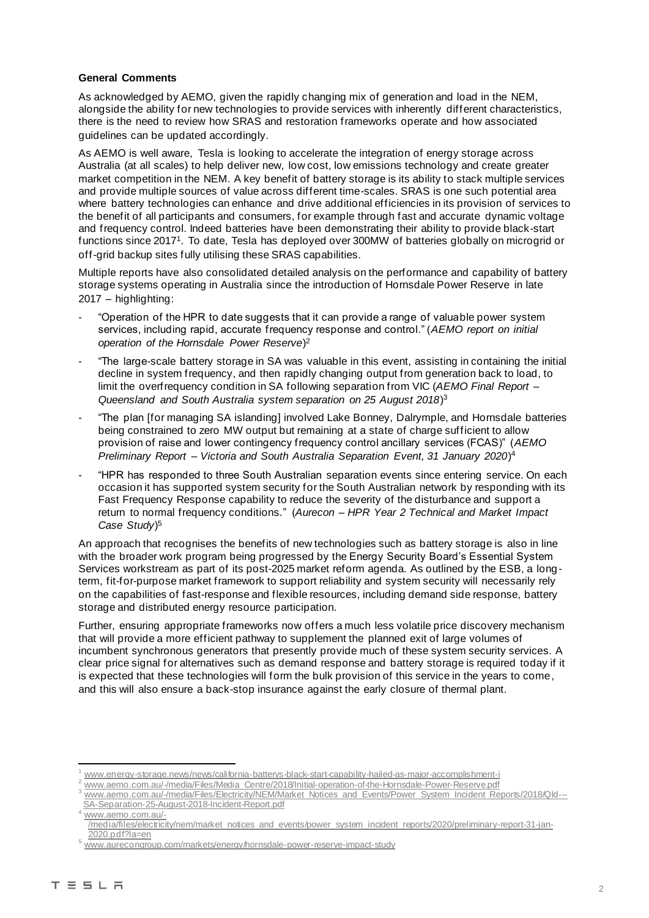## **General Comments**

As acknowledged by AEMO, given the rapidly changing mix of generation and load in the NEM, alongside the ability for new technologies to provide services with inherently different characteristics, there is the need to review how SRAS and restoration frameworks operate and how associated guidelines can be updated accordingly.

As AEMO is well aware, Tesla is looking to accelerate the integration of energy storage across Australia (at all scales) to help deliver new, low cost, low emissions technology and create greater market competition in the NEM. A key benefit of battery storage is its ability to stack multiple services and provide multiple sources of value across different time-scales. SRAS is one such potential area where battery technologies can enhance and drive additional efficiencies in its provision of services to the benefit of all participants and consumers, for example through fast and accurate dynamic voltage and frequency control. Indeed batteries have been demonstrating their ability to provide black-start functions since 2017<sup>1</sup> . To date, Tesla has deployed over 300MW of batteries globally on microgrid or off-grid backup sites fully utilising these SRAS capabilities.

Multiple reports have also consolidated detailed analysis on the performance and capability of battery storage systems operating in Australia since the introduction of Hornsdale Power Reserve in late 2017 – highlighting:

- "Operation of the HPR to date suggests that it can provide a range of valuable power system services, including rapid, accurate frequency response and control." (*AEMO report on initial operation of the Hornsdale Power Reserve*) 2
- "The large-scale battery storage in SA was valuable in this event, assisting in containing the initial decline in system frequency, and then rapidly changing output from generation back to load, to limit the overfrequency condition in SA following separation from VIC (*AEMO Final Report – Queensland and South Australia system separation on 25 August 2018*) 3
- "The plan [for managing SA islanding] involved Lake Bonney, Dalrymple, and Hornsdale batteries being constrained to zero MW output but remaining at a state of charge sufficient to allow provision of raise and lower contingency frequency control ancillary services (FCAS)" (*AEMO Preliminary Report – Victoria and South Australia Separation Event, 31 January 2020*) 4
- "HPR has responded to three South Australian separation events since entering service. On each occasion it has supported system security for the South Australian network by responding with its Fast Frequency Response capability to reduce the severity of the disturbance and support a return to normal frequency conditions." (*Aurecon – HPR Year 2 Technical and Market Impact Case Study*) 5

An approach that recognises the benefits of new technologies such as battery storage is also in line with the broader work program being progressed by the Energy Security Board's Essential System Services workstream as part of its post-2025 market reform agenda. As outlined by the ESB, a longterm, fit-for-purpose market framework to support reliability and system security will necessarily rely on the capabilities of fast-response and flexible resources, including demand side response, battery storage and distributed energy resource participation.

Further, ensuring appropriate frameworks now offers a much less volatile price discovery mechanism that will provide a more efficient pathway to supplement the planned exit of large volumes of incumbent synchronous generators that presently provide much of these system security services. A clear price signal for alternatives such as demand response and battery storage is required today if it is expected that these technologies will form the bulk provision of this service in the years to come, and this will also ensure a back-stop insurance against the early closure of thermal plant.

www.aemo.com.au/-

www.energy-storage.news/news/california-batterys-black-start-capability-hailed-as-major-accomplishment-i

www.aemo.com.au/-/media/Files/Media\_Centre/2018/Initial-operation-of-the-Hornsdale-Power-Reserve.pdf

www.aemo.com.au/-/media/Files/Electricity/NEM/Market\_Notices\_and\_Events/Power\_System\_Incident\_Reports/2018/Qld---SA-Separation-25-August-2018-Incident-Report.pdf

<sup>/</sup>media/files/electricity/nem/market\_notices\_and\_events/power\_system\_incident\_reports/2020/preliminary-report-31-jan-2020.pdf?la=en

<sup>5</sup> www.aurecongroup.com/markets/energy/hornsdale-power-reserve-impact-study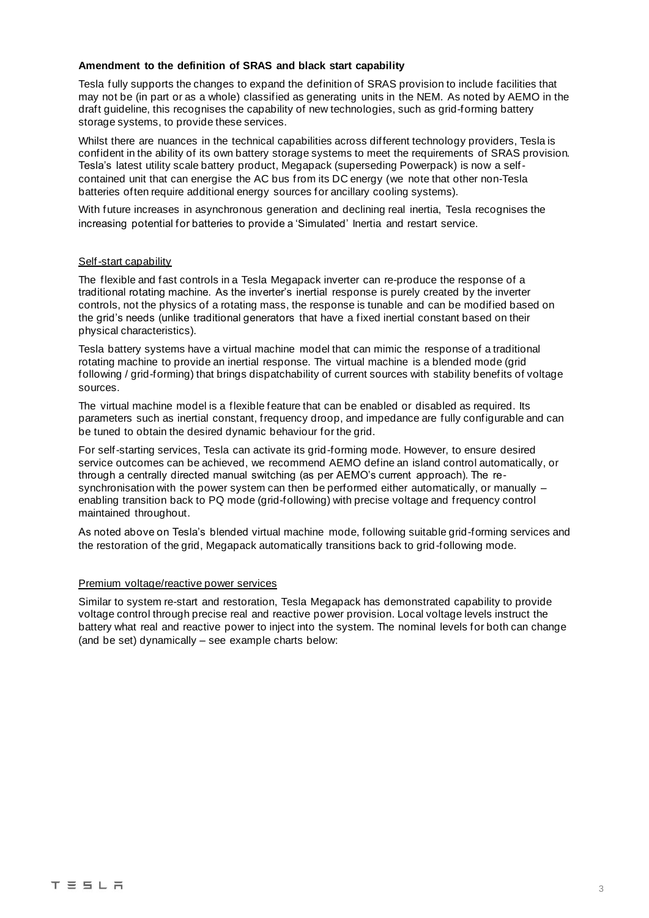## **Amendment to the definition of SRAS and black start capability**

Tesla fully supports the changes to expand the definition of SRAS provision to include facilities that may not be (in part or as a whole) classified as generating units in the NEM. As noted by AEMO in the draft guideline, this recognises the capability of new technologies, such as grid-forming battery storage systems, to provide these services.

Whilst there are nuances in the technical capabilities across different technology providers, Tesla is confident in the ability of its own battery storage systems to meet the requirements of SRAS provision. Tesla's latest utility scale battery product, Megapack (superseding Powerpack) is now a selfcontained unit that can energise the AC bus from its DC energy (we note that other non-Tesla batteries often require additional energy sources for ancillary cooling systems).

With future increases in asynchronous generation and declining real inertia, Tesla recognises the increasing potential for batteries to provide a 'Simulated' Inertia and restart service.

## Self-start capability

The flexible and fast controls in a Tesla Megapack inverter can re-produce the response of a traditional rotating machine. As the inverter's inertial response is purely created by the inverter controls, not the physics of a rotating mass, the response is tunable and can be modified based on the grid's needs (unlike traditional generators that have a fixed inertial constant based on their physical characteristics).

Tesla battery systems have a virtual machine model that can mimic the response of a traditional rotating machine to provide an inertial response. The virtual machine is a blended mode (grid following / grid-forming) that brings dispatchability of current sources with stability benefits of voltage sources.

The virtual machine model is a flexible feature that can be enabled or disabled as required. Its parameters such as inertial constant, frequency droop, and impedance are fully configurable and can be tuned to obtain the desired dynamic behaviour for the grid.

For self-starting services, Tesla can activate its grid-forming mode. However, to ensure desired service outcomes can be achieved, we recommend AEMO define an island control automatically, or through a centrally directed manual switching (as per AEMO's current approach). The resynchronisation with the power system can then be performed either automatically, or manually enabling transition back to PQ mode (grid-following) with precise voltage and frequency control maintained throughout.

As noted above on Tesla's blended virtual machine mode, following suitable grid-forming services and the restoration of the grid, Megapack automatically transitions back to grid-following mode.

#### Premium voltage/reactive power services

Similar to system re-start and restoration, Tesla Megapack has demonstrated capability to provide voltage control through precise real and reactive power provision. Local voltage levels instruct the battery what real and reactive power to inject into the system. The nominal levels for both can change (and be set) dynamically – see example charts below: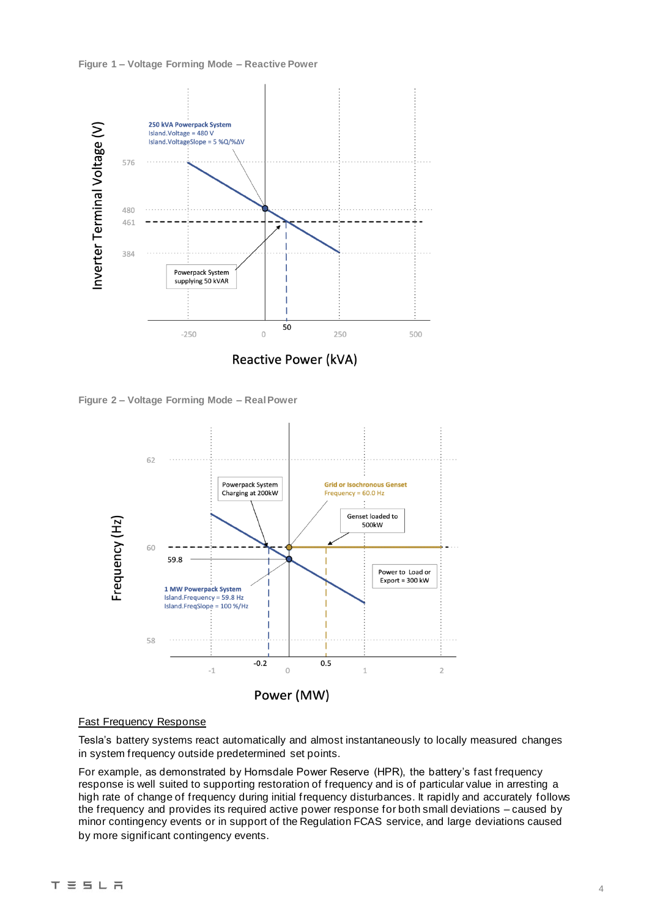#### **Figure 1 – Voltage Forming Mode – Reactive Power**



**Figure 2 – Voltage Forming Mode – Real Power**



### Fast Frequency Response

Tesla's battery systems react automatically and almost instantaneously to locally measured changes in system frequency outside predetermined set points.

For example, as demonstrated by Hornsdale Power Reserve (HPR), the battery's fast frequency response is well suited to supporting restoration of frequency and is of particular value in arresting a high rate of change of frequency during initial frequency disturbances. It rapidly and accurately follows the frequency and provides its required active power response for both small deviations – caused by minor contingency events or in support of the Regulation FCAS service, and large deviations caused by more significant contingency events.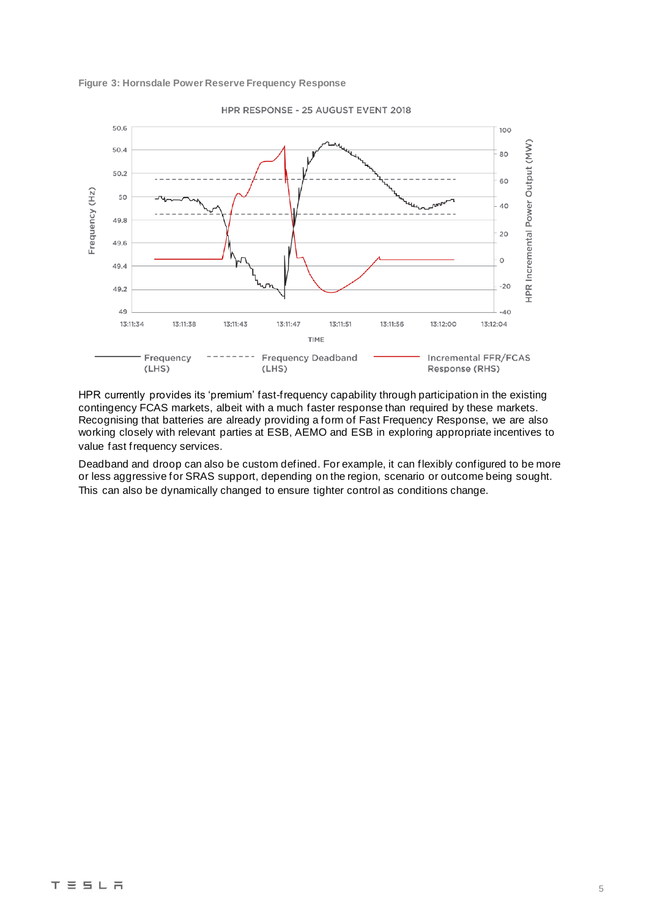



HPR RESPONSE - 25 AUGUST EVENT 2018

HPR currently provides its 'premium' fast-frequency capability through participation in the existing contingency FCAS markets, albeit with a much faster response than required by these markets. Recognising that batteries are already providing a form of Fast Frequency Response, we are also working closely with relevant parties at ESB, AEMO and ESB in exploring appropriate incentives to value fast frequency services.

Deadband and droop can also be custom defined. For example, it can flexibly configured to be more or less aggressive for SRAS support, depending on the region, scenario or outcome being sought. This can also be dynamically changed to ensure tighter control as conditions change.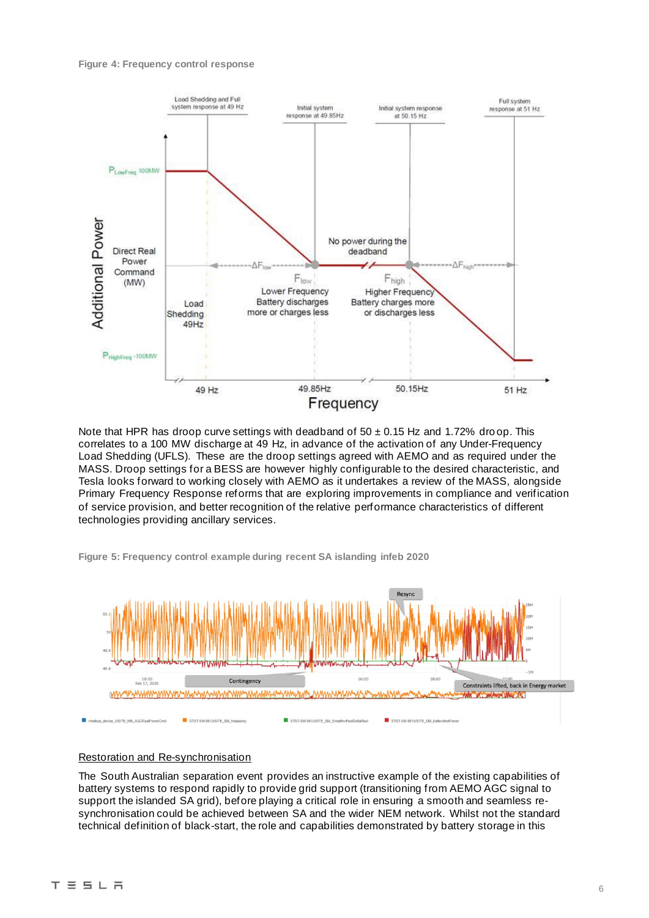

Note that HPR has droop curve settings with deadband of  $50 \pm 0.15$  Hz and 1.72% droop. This correlates to a 100 MW discharge at 49 Hz, in advance of the activation of any Under-Frequency Load Shedding (UFLS). These are the droop settings agreed with AEMO and as required under the MASS. Droop settings for a BESS are however highly configurable to the desired characteristic, and Tesla looks forward to working closely with AEMO as it undertakes a review of the MASS, alongside Primary Frequency Response reforms that are exploring improvements in compliance and verification of service provision, and better recognition of the relative performance characteristics of different technologies providing ancillary services.

**Figure 5: Frequency control example during recent SA islanding infeb 2020**



#### Restoration and Re-synchronisation

The South Australian separation event provides an instructive example of the existing capabilities of battery systems to respond rapidly to provide grid support (transitioning from AEMO AGC signal to support the islanded SA grid), before playing a critical role in ensuring a smooth and seamless resynchronisation could be achieved between SA and the wider NEM network. Whilst not the standard technical definition of black-start, the role and capabilities demonstrated by battery storage in this